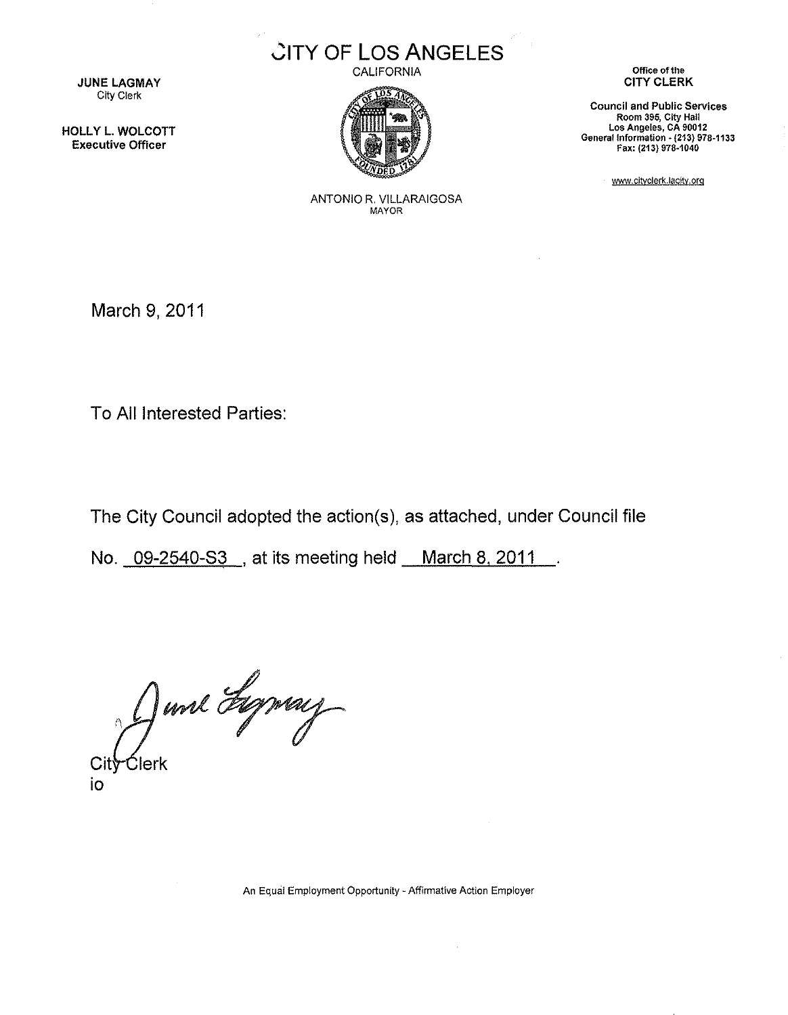

CALIFORNIA



JUNE LAGMAY City Clerk

HOLLY L. WOLCOTT Executive Officer

**Office of the** CITY CLERK

**Council and Public Services Room 395, City Hall Los Angeles, CA 90012** General Information - **(213) 978·1133** Fax: (213) 978·1040

www.cityclerk.lacity,org

ANTONIO R. VILLARAIGOSA MAYOR

March 9, 2011

To All Interested Parties:

The City Council adopted the action(s), as attached, under Council file

No. 09-2540-S3, at its meeting held March 8, 2011.

June Lymay

Cit io

**An Equal Employment Opportunity - Affirmative Action Employer**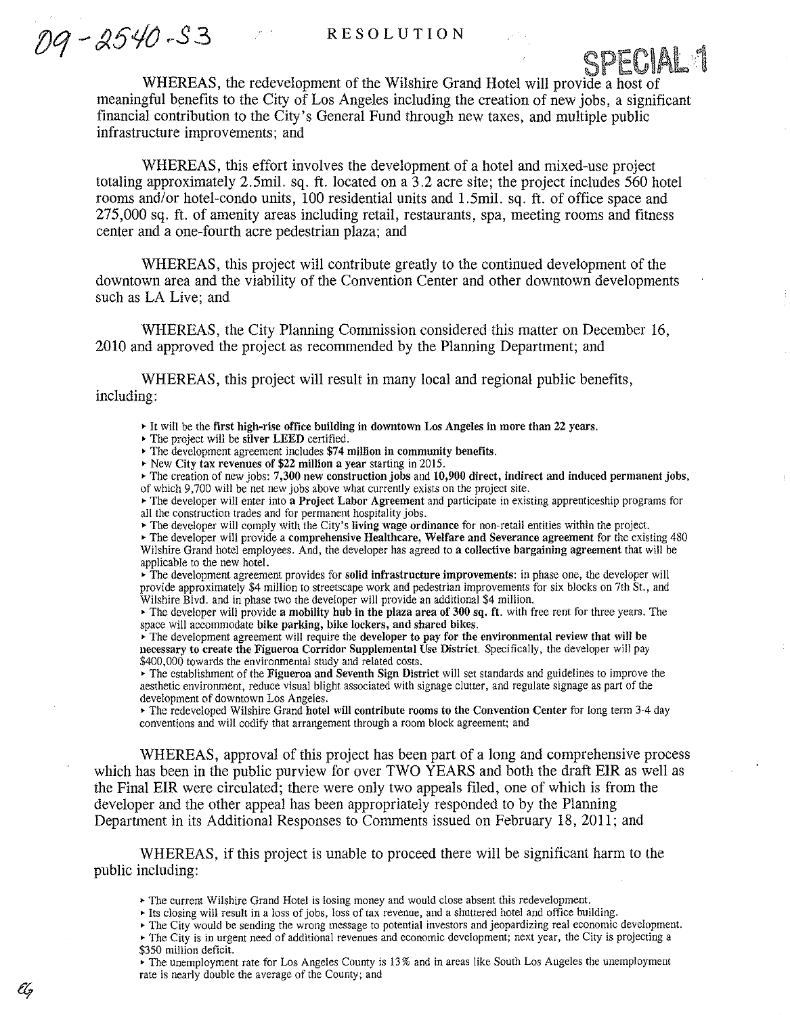SPECIAL<sup>1</sup>

09-2540-53

WHEREAS, the redevelopment of the Wilshire Grand Hotel will provide a host of meaningful benefits to the City of Los Angeles including the creation of new jobs, a significant financial contribution to the City's General Fund through new taxes, and multiple public infrastructure improvements; and

WHEREAS, this effort involves the development of a hotel and mixed-use project totaling approximately 2.5mil. sq. ft. located on a 3.2 acre site; the project includes 560 hotel rooms and/or hotel-condo units, 100 residential units and 1.5mil. sq. ft. of office space and 275,000 sq. ft. of amenity areas including retail, restaurants, spa, meeting rooms and fitness center and a one-fourth acre pedestrian plaza; and

WHEREAS, this project will contribute greatly to the continued development of the downtown area and the viability of the Convention Center and other downtown developments such as LA Live; and

WHEREAS, the City Planning Commission considered this matter on December 16, 2010 and approved the project as recommended by the Planning Department; and

WHEREAS, this project will result in many local and regional public benefits, including:

 $\triangleright$  It will be the first high-rise office building in downtown Los Angeles in more than 22 years.

• The project will be silver LEED certified .

 $\rightarrow$  The development agreement includes \$74 million in community benefits.

• New City tax revenues of \$22 million a year starting in 2015 .

 $\triangleright$  The creation of new jobs: 7,300 new construction jobs and 10,900 direct, indirect and induced permanent jobs, of which 9,700 will be net new jobs above what currently exists on the project site .

The developer will enter into a Project Labor Agreement and participate in existing apprenticeship programs for all the construction trades and for permanent hospitality jobs .

.. The developer will comply with the City's Jiving wage ordinance for non-retail entities within the project.

""The developer will provide a comprehensive Healthcare, Welfare and Severance agreement for the existing 480 Wilshire Grand hotel employees. And, the developer has agreed to a collective bargaining agreement that will be applicable to the new hotel.

 $\overrightarrow{r}$  The development agreement provides for solid infrastructure improvements: in phase one, the developer will provide approximately \$4 million to streetscape work and pedestrian improvements for six blocks on 7th St., and Wilshire Blvd. and in phase two the developer will provide an additional \$4 million.

• The developer will provide a mobility hub in the plaza area of 300 sq. ft. with free rent for three years. The space will accommodate bike parking, bike lockers, and shared bikes.

 $\mathbf F$ . The development agreement will require the developer to pay for the environmental review that will be necessary to create the Figueroa Corridor Supplemental Use District. Specifically, the developer will pay \$400,000 towards the environmental study and related costs.

The establishment of the Figueroa and Seventh Sign District will set standards and guidelines to improve the aesthetic environment, reduce visual blight associated with signage clutter, and regulate signage as part of the development of downtown Los Angeles.

The redeveloped Wilshire Grand hotel will contribute rooms to the Convention Center for long term 3-4 day conventions and will codify that arrangement through a room block agreement; and

WHEREAS, approval of this project has been part of a long and comprehensive process which has been in the public purview for over TWO YEARS and both the draft EIR as well as the Final EIR were circulated; there were only two appeals filed, one of which is from the developer and the other appeal has been appropriately responded to by the Planning Department in its Additional Responses to Connnents issued on February 18, 2011; and

WHEREAS, if this project is unable to proceed there will be significant harm to the public including:

- The current Wilshire Grand Hotel is losing money and would close absent this redevelopment.
- Its closing will result in a loss of jobs, loss of tax revenue, and a shuttered hotel and office building.

""The City would be sending the wrong message to potential investors and jeopardizing real economic development.

- ""The City is in urgent need of additional revenues and economic development; next year, the City is projecting a \$350 million deficit.
- The unemployment rate for Los Angeles County is 13% and in areas like South Los Angeles the unemployment rate is nearly double the average of the County; and